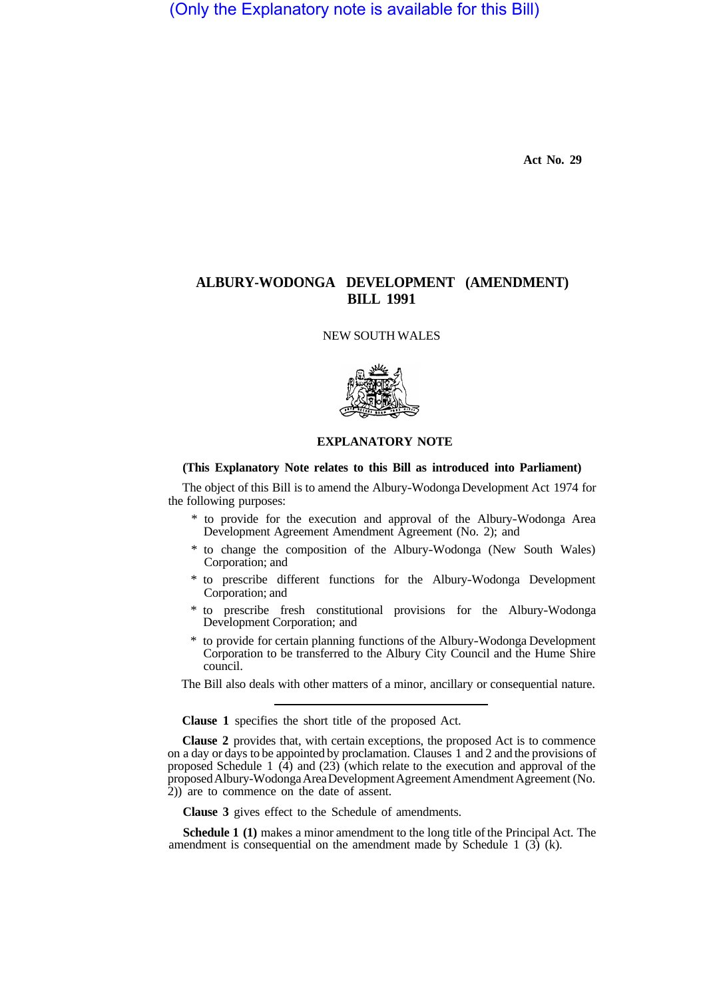(Only the Explanatory note is available for this Bill)

**Act No. 29** 

## **ALBURY-WODONGA DEVELOPMENT (AMENDMENT) BILL 1991**

NEW SOUTH WALES



## **EXPLANATORY NOTE**

## **(This Explanatory Note relates to this Bill as introduced into Parliament)**

The object of this Bill is to amend the Albury-Wodonga Development Act 1974 for the following purposes:

- \* to provide for the execution and approval of the Albury-Wodonga Area Development Agreement Amendment Agreement (No. 2); and
- \* to change the composition of the Albury-Wodonga (New South Wales) Corporation; and
- \* to prescribe different functions for the Albury-Wodonga Development Corporation; and
- \* to prescribe fresh constitutional provisions for the Albury-Wodonga Development Corporation; and
- \* to provide for certain planning functions of the Albury-Wodonga Development Corporation to be transferred to the Albury City Council and the Hume Shire council.

The Bill also deals with other matters of a minor, ancillary or consequential nature.

**Clause 1** specifies the short title of the proposed Act.

**Clause 2** provides that, with certain exceptions, the proposed Act is to commence on a day or days to be appointed by proclamation. Clauses 1 and 2 and the provisions of proposed Schedule 1  $(4)$  and  $(23)$  (which relate to the execution and approval of the proposed Albury-Wodonga Area Development Agreement Amendment Agreement (No. 2)) are to commence on the date of assent.

**Clause 3** gives effect to the Schedule of amendments.

**Schedule 1 (1)** makes a minor amendment to the long title of the Principal Act. The amendment is consequential on the amendment made by Schedule 1  $(3)$  (k).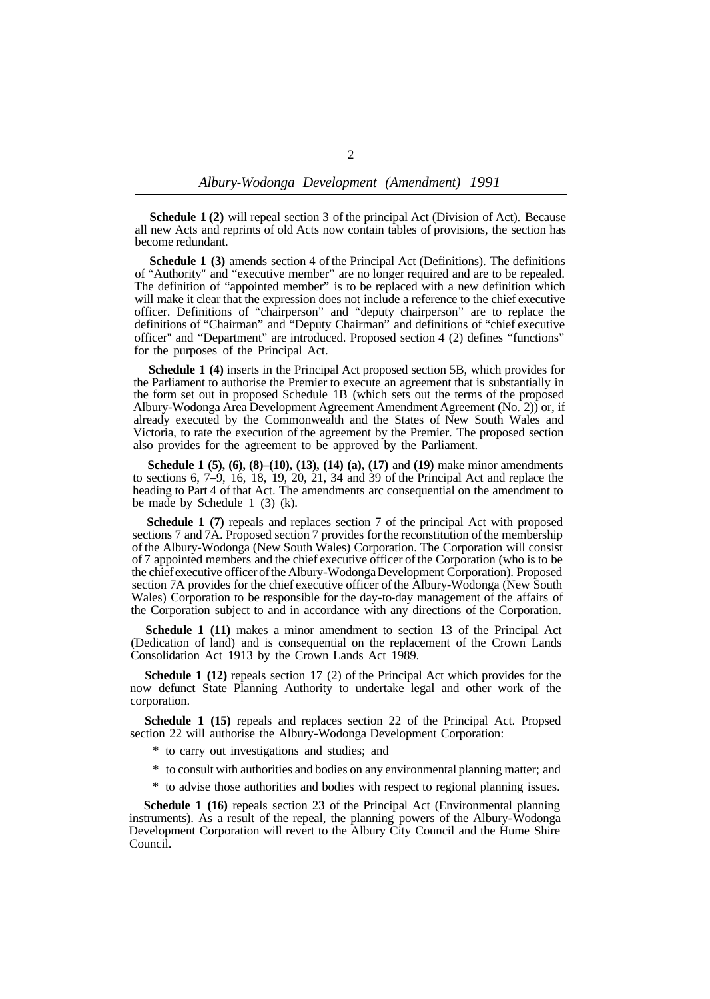**Schedule 1 (2)** will repeal section 3 of the principal Act (Division of Act). Because all new Acts and reprints of old Acts now contain tables of provisions, the section has become redundant.

**Schedule 1 (3)** amends section 4 of the Principal Act (Definitions). The definitions of "Authority'' and "executive member" are no longer required and are to be repealed. The definition of "appointed member" is to be replaced with a new definition which will make it clear that the expression does not include a reference to the chief executive officer. Definitions of "chairperson" and "deputy chairperson" are to replace the definitions of "Chairman" and "Deputy Chairman" and definitions of "chief executive officer'' and "Department" are introduced. Proposed section 4 (2) defines "functions" for the purposes of the Principal Act.

**Schedule 1 (4)** inserts in the Principal Act proposed section 5B, which provides for the Parliament to authorise the Premier to execute an agreement that is substantially in the form set out in proposed Schedule 1B (which sets out the terms of the proposed Albury-Wodonga Area Development Agreement Amendment Agreement (No. 2)) or, if already executed by the Commonwealth and the States of New South Wales and Victoria, to rate the execution of the agreement by the Premier. The proposed section also provides for the agreement to be approved by the Parliament.

**Schedule 1 (5), (6), (8)–(10), (13), (14) (a), (17)** and **(19)** make minor amendments to sections  $6, 7-9, 16, 18, 19, 20, 21, 34$  and 39 of the Principal Act and replace the heading to Part 4 of that Act. The amendments arc consequential on the amendment to be made by Schedule 1 (3) (k).

**Schedule 1 (7)** repeals and replaces section 7 of the principal Act with proposed sections 7 and 7A. Proposed section 7 provides for the reconstitution of the membership of the Albury-Wodonga (New South Wales) Corporation. The Corporation will consist of 7 appointed members and the chief executive officer of the Corporation (who is to be the chief executive officer of the Albury-Wodonga Development Corporation). Proposed section 7A provides for the chief executive officer of the Albury-Wodonga (New South Wales) Corporation to be responsible for the day-to-day management of the affairs of the Corporation subject to and in accordance with any directions of the Corporation.

**Schedule 1 (11)** makes a minor amendment to section 13 of the Principal Act (Dedication of land) and is consequential on the replacement of the Crown Lands Consolidation Act 1913 by the Crown Lands Act 1989.

**Schedule 1 (12)** repeals section 17 (2) of the Principal Act which provides for the now defunct State Planning Authority to undertake legal and other work of the corporation.

**Schedule 1 (15)** repeals and replaces section 22 of the Principal Act. Propsed section 22 will authorise the Albury-Wodonga Development Corporation:

- \* to carry out investigations and studies; and
- \* to consult with authorities and bodies on any environmental planning matter; and
- \* to advise those authorities and bodies with respect to regional planning issues.

**Schedule 1 (16)** repeals section 23 of the Principal Act (Environmental planning instruments). As a result of the repeal, the planning powers of the Albury-Wodonga Development Corporation will revert to the Albury City Council and the Hume Shire Council.